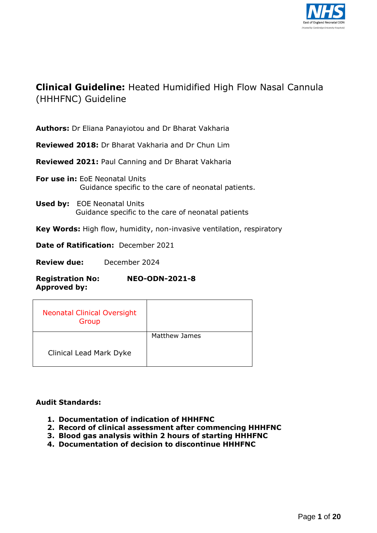

# **Clinical Guideline:** Heated Humidified High Flow Nasal Cannula (HHHFNC) Guideline

**Authors:** Dr Eliana Panayiotou and Dr Bharat Vakharia

**Reviewed 2018:** Dr Bharat Vakharia and Dr Chun Lim

**Reviewed 2021:** Paul Canning and Dr Bharat Vakharia

- **For use in:** EoE Neonatal Units Guidance specific to the care of neonatal patients.
- **Used by:** EOE Neonatal Units Guidance specific to the care of neonatal patients

**Key Words:** High flow, humidity, non-invasive ventilation, respiratory

**Date of Ratification:** December 2021

**Review due:** December 2024

**Registration No: NEO-ODN-2021-8 Approved by:**

| <b>Neonatal Clinical Oversight</b><br>Group |                      |
|---------------------------------------------|----------------------|
|                                             | <b>Matthew James</b> |
| <b>Clinical Lead Mark Dyke</b>              |                      |

### **Audit Standards:**

- **1. Documentation of indication of HHHFNC**
- **2. Record of clinical assessment after commencing HHHFNC**
- **3. Blood gas analysis within 2 hours of starting HHHFNC**
- **4. Documentation of decision to discontinue HHHFNC**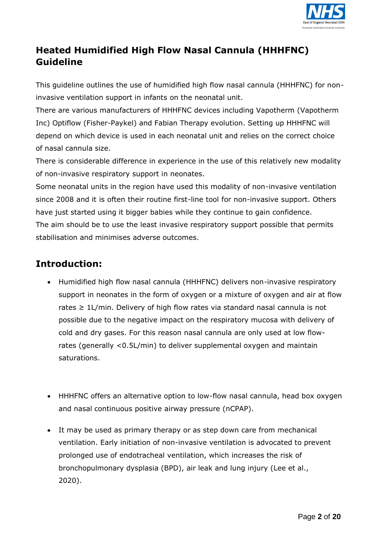

# **Heated Humidified High Flow Nasal Cannula (HHHFNC) Guideline**

This guideline outlines the use of humidified high flow nasal cannula (HHHFNC) for noninvasive ventilation support in infants on the neonatal unit.

There are various manufacturers of HHHFNC devices including Vapotherm (Vapotherm Inc) Optiflow (Fisher-Paykel) and Fabian Therapy evolution. Setting up HHHFNC will depend on which device is used in each neonatal unit and relies on the correct choice of nasal cannula size.

There is considerable difference in experience in the use of this relatively new modality of non-invasive respiratory support in neonates.

Some neonatal units in the region have used this modality of non-invasive ventilation since 2008 and it is often their routine first-line tool for non-invasive support. Others have just started using it bigger babies while they continue to gain confidence. The aim should be to use the least invasive respiratory support possible that permits

stabilisation and minimises adverse outcomes.

# **Introduction:**

- Humidified high flow nasal cannula (HHHFNC) delivers non-invasive respiratory support in neonates in the form of oxygen or a mixture of oxygen and air at flow rates ≥ 1L/min. Delivery of high flow rates via standard nasal cannula is not possible due to the negative impact on the respiratory mucosa with delivery of cold and dry gases. For this reason nasal cannula are only used at low flowrates (generally <0.5L/min) to deliver supplemental oxygen and maintain saturations.
- HHHFNC offers an alternative option to low-flow nasal cannula, head box oxygen and nasal continuous positive airway pressure (nCPAP).
- It may be used as primary therapy or as step down care from mechanical ventilation. Early initiation of non-invasive ventilation is advocated to prevent prolonged use of endotracheal ventilation, which increases the risk of bronchopulmonary dysplasia (BPD), air leak and lung injury (Lee et al., 2020).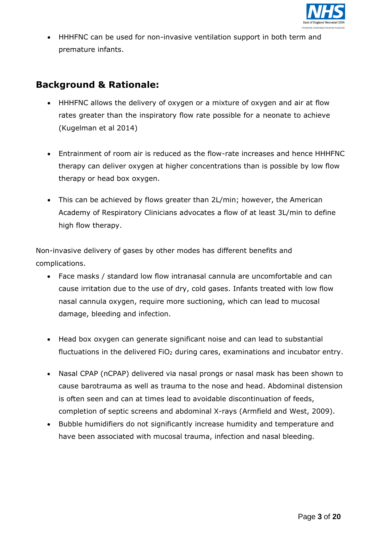

 HHHFNC can be used for non-invasive ventilation support in both term and premature infants.

# **Background & Rationale:**

- HHHFNC allows the delivery of oxygen or a mixture of oxygen and air at flow rates greater than the inspiratory flow rate possible for a neonate to achieve (Kugelman et al 2014)
- Entrainment of room air is reduced as the flow-rate increases and hence HHHFNC therapy can deliver oxygen at higher concentrations than is possible by low flow therapy or head box oxygen.
- This can be achieved by flows greater than 2L/min; however, the American Academy of Respiratory Clinicians advocates a flow of at least 3L/min to define high flow therapy.

Non-invasive delivery of gases by other modes has different benefits and complications.

- Face masks / standard low flow intranasal cannula are uncomfortable and can cause irritation due to the use of dry, cold gases. Infants treated with low flow nasal cannula oxygen, require more suctioning, which can lead to mucosal damage, bleeding and infection.
- Head box oxygen can generate significant noise and can lead to substantial fluctuations in the delivered FiO<sub>2</sub> during cares, examinations and incubator entry.
- Nasal CPAP (nCPAP) delivered via nasal prongs or nasal mask has been shown to cause barotrauma as well as trauma to the nose and head. Abdominal distension is often seen and can at times lead to avoidable discontinuation of feeds, completion of septic screens and abdominal X-rays (Armfield and West, 2009).
- Bubble humidifiers do not significantly increase humidity and temperature and have been associated with mucosal trauma, infection and nasal bleeding.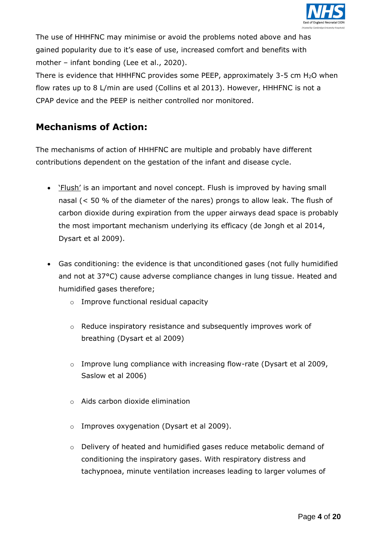

The use of HHHFNC may minimise or avoid the problems noted above and has gained popularity due to it's ease of use, increased comfort and benefits with mother – infant bonding (Lee et al., 2020).

There is evidence that HHHFNC provides some PEEP, approximately 3-5 cm H2O when flow rates up to 8 L/min are used (Collins et al 2013). However, HHHFNC is not a CPAP device and the PEEP is neither controlled nor monitored.

# **Mechanisms of Action:**

The mechanisms of action of HHHFNC are multiple and probably have different contributions dependent on the gestation of the infant and disease cycle.

- *'Flush'* is an important and novel concept. Flush is improved by having small nasal (< 50 % of the diameter of the nares) prongs to allow leak. The flush of carbon dioxide during expiration from the upper airways dead space is probably the most important mechanism underlying its efficacy (de Jongh et al 2014, Dysart et al 2009).
- Gas conditioning: the evidence is that unconditioned gases (not fully humidified and not at 37°C) cause adverse compliance changes in lung tissue. Heated and humidified gases therefore;
	- o Improve functional residual capacity
	- o Reduce inspiratory resistance and subsequently improves work of breathing (Dysart et al 2009)
	- $\circ$  Improve lung compliance with increasing flow-rate (Dysart et al 2009, Saslow et al 2006)
	- o Aids carbon dioxide elimination
	- o Improves oxygenation (Dysart et al 2009).
	- o Delivery of heated and humidified gases reduce metabolic demand of conditioning the inspiratory gases. With respiratory distress and tachypnoea, minute ventilation increases leading to larger volumes of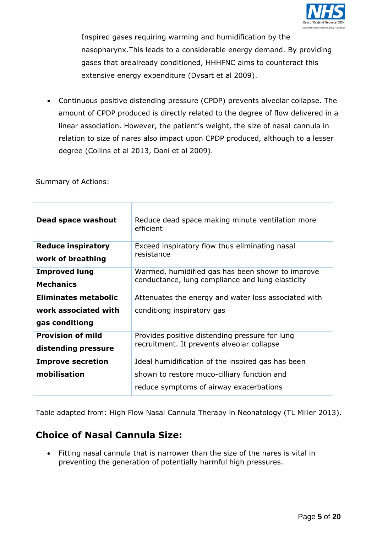

Inspired gases requiring warming and humidification by the nasopharynx.This leads to a considerable energy demand. By providing gases that are already conditioned, HHHFNC aims to counteract this extensive energy expenditure (Dysart et al 2009).

 Continuous positive distending pressure (CPDP) prevents alveolar collapse. The amount of CPDP produced is directly related to the degree of flow delivered in a linear association. However, the patient's weight, the size of nasal cannula in relation to size of nares also impact upon CPDP produced, although to a lesser degree (Collins et al 2013, Dani et al 2009).

Summary of Actions:

| Dead space washout          | Reduce dead space making minute ventilation more<br>efficient |
|-----------------------------|---------------------------------------------------------------|
| <b>Reduce inspiratory</b>   | Exceed inspiratory flow thus eliminating nasal<br>resistance  |
| work of breathing           |                                                               |
| <b>Improved lung</b>        | Warmed, humidified gas has been shown to improve              |
| <b>Mechanics</b>            | conductance, lung compliance and lung elasticity              |
| <b>Eliminates metabolic</b> | Attenuates the energy and water loss associated with          |
| work associated with        | conditiong inspiratory gas                                    |
| gas conditiong              |                                                               |
| <b>Provision of mild</b>    | Provides positive distending pressure for lung                |
| distending pressure         | recruitment. It prevents alveolar collapse                    |
| <b>Improve secretion</b>    | Ideal humidification of the inspired gas has been             |
| mobilisation                | shown to restore muco-cilliary function and                   |
|                             | reduce symptoms of airway exacerbations                       |

Table adapted from: High Flow Nasal Cannula Therapy in Neonatology (TL Miller 2013).

# **Choice of Nasal Cannula Size:**

 Fitting nasal cannula that is narrower than the size of the nares is vital in preventing the generation of potentially harmful high pressures.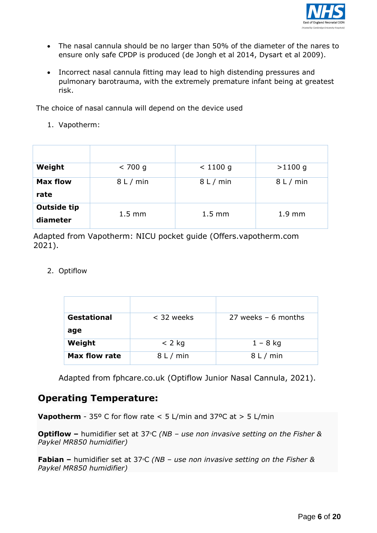

- The nasal cannula should be no larger than 50% of the diameter of the nares to ensure only safe CPDP is produced (de Jongh et al 2014, Dysart et al 2009).
- Incorrect nasal cannula fitting may lead to high distending pressures and pulmonary barotrauma, with the extremely premature infant being at greatest risk.

The choice of nasal cannula will depend on the device used

1. Vapotherm:

| Weight                         | < 700 g          | $< 1100$ g       | $>1100$ g        |
|--------------------------------|------------------|------------------|------------------|
| <b>Max flow</b><br>rate        | 8 L / min        | 8 L / min        | 8 L / min        |
| <b>Outside tip</b><br>diameter | $1.5 \text{ mm}$ | $1.5 \text{ mm}$ | $1.9 \text{ mm}$ |

Adapted from Vapotherm: NICU pocket guide (Offers.vapotherm.com 2021).

2. Optiflow

| <b>Gestational</b>   | < 32 weeks | 27 weeks $-6$ months |
|----------------------|------------|----------------------|
| age<br>Weight        | $<$ 2 kg   | $1 - 8$ kg           |
| <b>Max flow rate</b> | 8 L / min  | 8 L / min            |

Adapted from fphcare.co.uk (Optiflow Junior Nasal Cannula, 2021).

### **Operating Temperature:**

**Vapotherm** - 35° C for flow rate  $<$  5 L/min and 37°C at  $>$  5 L/min

**Optiflow –** humidifier set at 37°C (NB – use non invasive setting on the Fisher & *Paykel MR850 humidifier)*

**Fabian –** humidifier set at 37°C (NB – use non invasive setting on the Fisher & *Paykel MR850 humidifier)*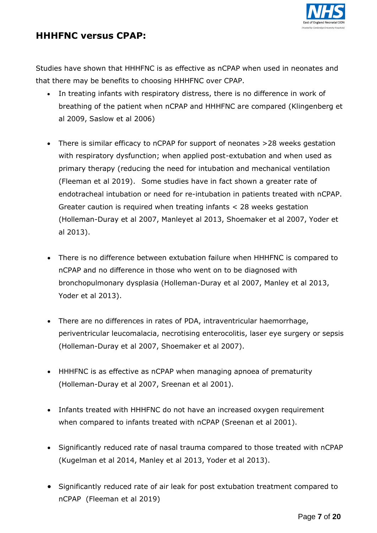

### **HHHFNC versus CPAP:**

Studies have shown that HHHFNC is as effective as nCPAP when used in neonates and that there may be benefits to choosing HHHFNC over CPAP.

- In treating infants with respiratory distress, there is no difference in work of breathing of the patient when nCPAP and HHHFNC are compared (Klingenberg et al 2009, Saslow et al 2006)
- There is similar efficacy to nCPAP for support of neonates >28 weeks gestation with respiratory dysfunction; when applied post-extubation and when used as primary therapy (reducing the need for intubation and mechanical ventilation (Fleeman et al 2019). Some studies have in fact shown a greater rate of endotracheal intubation or need for re-intubation in patients treated with nCPAP. Greater caution is required when treating infants < 28 weeks gestation (Holleman-Duray et al 2007, Manleyet al 2013, Shoemaker et al 2007, Yoder et al 2013).
- There is no difference between extubation failure when HHHFNC is compared to nCPAP and no difference in those who went on to be diagnosed with bronchopulmonary dysplasia (Holleman-Duray et al 2007, Manley et al 2013, Yoder et al 2013).
- There are no differences in rates of PDA, intraventricular haemorrhage, periventricular leucomalacia, necrotising enterocolitis, laser eye surgery or sepsis (Holleman-Duray et al 2007, Shoemaker et al 2007).
- HHHFNC is as effective as nCPAP when managing apnoea of prematurity (Holleman-Duray et al 2007, Sreenan et al 2001).
- Infants treated with HHHFNC do not have an increased oxygen requirement when compared to infants treated with nCPAP (Sreenan et al 2001).
- Significantly reduced rate of nasal trauma compared to those treated with nCPAP (Kugelman et al 2014, Manley et al 2013, Yoder et al 2013).
- Significantly reduced rate of air leak for post extubation treatment compared to nCPAP (Fleeman et al 2019)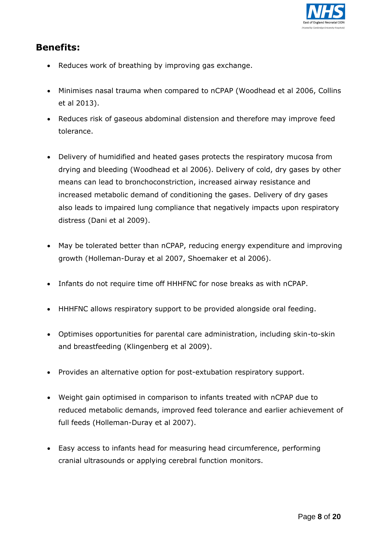

# **Benefits:**

- Reduces work of breathing by improving gas exchange.
- Minimises nasal trauma when compared to nCPAP (Woodhead et al 2006, Collins et al 2013).
- Reduces risk of gaseous abdominal distension and therefore may improve feed tolerance.
- Delivery of humidified and heated gases protects the respiratory mucosa from drying and bleeding (Woodhead et al 2006). Delivery of cold, dry gases by other means can lead to bronchoconstriction, increased airway resistance and increased metabolic demand of conditioning the gases. Delivery of dry gases also leads to impaired lung compliance that negatively impacts upon respiratory distress (Dani et al 2009).
- May be tolerated better than nCPAP, reducing energy expenditure and improving growth (Holleman-Duray et al 2007, Shoemaker et al 2006).
- Infants do not require time off HHHFNC for nose breaks as with nCPAP.
- HHHFNC allows respiratory support to be provided alongside oral feeding.
- Optimises opportunities for parental care administration, including skin-to-skin and breastfeeding (Klingenberg et al 2009).
- Provides an alternative option for post-extubation respiratory support.
- Weight gain optimised in comparison to infants treated with nCPAP due to reduced metabolic demands, improved feed tolerance and earlier achievement of full feeds (Holleman-Duray et al 2007).
- Easy access to infants head for measuring head circumference, performing cranial ultrasounds or applying cerebral function monitors.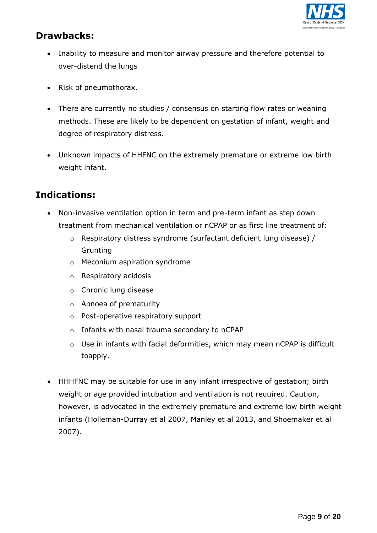

# **Drawbacks:**

- Inability to measure and monitor airway pressure and therefore potential to over-distend the lungs
- Risk of pneumothorax.
- There are currently no studies / consensus on starting flow rates or weaning methods. These are likely to be dependent on gestation of infant, weight and degree of respiratory distress.
- Unknown impacts of HHFNC on the extremely premature or extreme low birth weight infant.

# **Indications:**

- Non-invasive ventilation option in term and pre-term infant as step down treatment from mechanical ventilation or nCPAP or as first line treatment of:
	- o Respiratory distress syndrome (surfactant deficient lung disease) / Grunting
	- o Meconium aspiration syndrome
	- o Respiratory acidosis
	- o Chronic lung disease
	- o Apnoea of prematurity
	- o Post-operative respiratory support
	- o Infants with nasal trauma secondary to nCPAP
	- o Use in infants with facial deformities, which may mean nCPAP is difficult toapply.
- HHHFNC may be suitable for use in any infant irrespective of gestation; birth weight or age provided intubation and ventilation is not required. Caution, however, is advocated in the extremely premature and extreme low birth weight infants (Holleman-Durray et al 2007, Manley et al 2013, and Shoemaker et al 2007).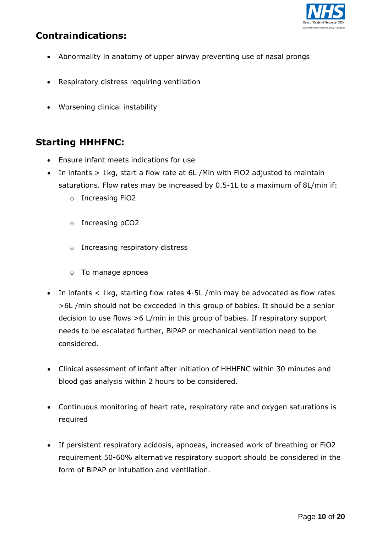

# **Contraindications:**

- Abnormality in anatomy of upper airway preventing use of nasal prongs
- Respiratory distress requiring ventilation
- Worsening clinical instability

# **Starting HHHFNC:**

- Ensure infant meets indications for use
- In infants > 1kg, start a flow rate at 6L /Min with FiO2 adjusted to maintain saturations. Flow rates may be increased by 0.5-1L to a maximum of 8L/min if:
	- o Increasing FiO2
	- o Increasing pCO2
	- o Increasing respiratory distress
	- o To manage apnoea
- In infants < 1kg, starting flow rates 4-5L /min may be advocated as flow rates >6L /min should not be exceeded in this group of babies. It should be a senior decision to use flows >6 L/min in this group of babies. If respiratory support needs to be escalated further, BiPAP or mechanical ventilation need to be considered.
- Clinical assessment of infant after initiation of HHHFNC within 30 minutes and blood gas analysis within 2 hours to be considered.
- Continuous monitoring of heart rate, respiratory rate and oxygen saturations is required
- If persistent respiratory acidosis, apnoeas, increased work of breathing or FiO2 requirement 50-60% alternative respiratory support should be considered in the form of BiPAP or intubation and ventilation.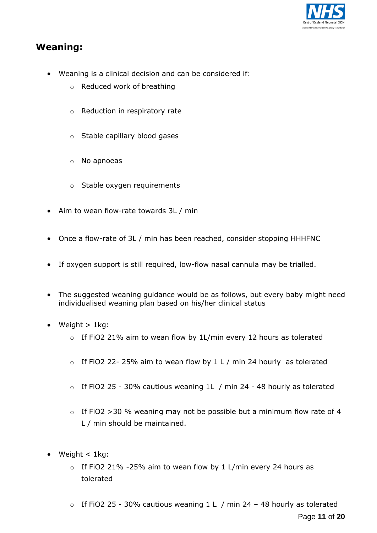

### **Weaning:**

- Weaning is a clinical decision and can be considered if:
	- o Reduced work of breathing
	- o Reduction in respiratory rate
	- o Stable capillary blood gases
	- o No apnoeas
	- o Stable oxygen requirements
- Aim to wean flow-rate towards 3L / min
- Once a flow-rate of 3L / min has been reached, consider stopping HHHFNC
- If oxygen support is still required, low-flow nasal cannula may be trialled.
- The suggested weaning guidance would be as follows, but every baby might need individualised weaning plan based on his/her clinical status
- Weight  $> 1$ kg:
	- o If FiO2 21% aim to wean flow by 1L/min every 12 hours as tolerated
	- $\circ$  If FiO2 22-25% aim to wean flow by 1 L / min 24 hourly as tolerated
	- o If FiO2 25 30% cautious weaning 1L / min 24 48 hourly as tolerated
	- $\circ$  If FiO2 >30 % weaning may not be possible but a minimum flow rate of 4 L / min should be maintained.
- $\bullet$  Weight < 1kg:
	- o If FiO2 21% -25% aim to wean flow by 1 L/min every 24 hours as tolerated
	- Page **11** of **20**  $\circ$  If FiO2 25 - 30% cautious weaning 1 L / min 24 - 48 hourly as tolerated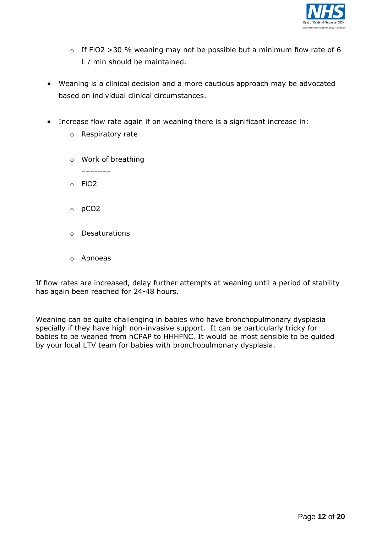

- $\circ$  If FiO2 >30 % weaning may not be possible but a minimum flow rate of 6 L / min should be maintained.
- Weaning is a clinical decision and a more cautious approach may be advocated based on individual clinical circumstances.
- Increase flow rate again if on weaning there is a significant increase in:
	- o Respiratory rate
	- o Work of breathing
		- –––-–––
	- o FiO2
	- o pCO2
	- o Desaturations
	- o Apnoeas

If flow rates are increased, delay further attempts at weaning until a period of stability has again been reached for 24-48 hours.

Weaning can be quite challenging in babies who have bronchopulmonary dysplasia specially if they have high non-invasive support. It can be particularly tricky for babies to be weaned from nCPAP to HHHFNC. It would be most sensible to be guided by your local LTV team for babies with bronchopulmonary dysplasia.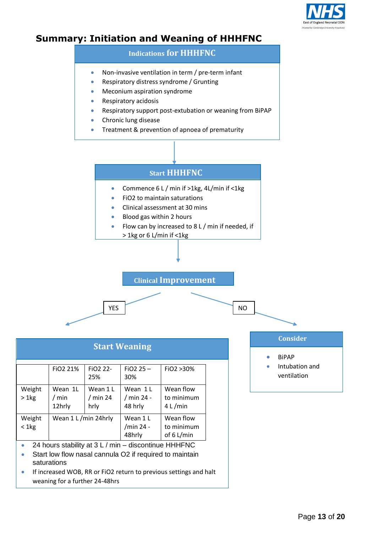

### **Summary: Initiation and Weaning of HHHFNC**

# **Indications for HHHFNC**

- Non-invasive ventilation in term / pre-term infant
- Respiratory distress syndrome / Grunting
- Meconium aspiration syndrome
- Respiratory acidosis
- Respiratory support post-extubation or weaning from BiPAP
- Chronic lung disease
- Treatment & prevention of apnoea of prematurity



| <b>Start Weaning</b>                                                                                                                                                                                |                            |                                |                                   |                                         |
|-----------------------------------------------------------------------------------------------------------------------------------------------------------------------------------------------------|----------------------------|--------------------------------|-----------------------------------|-----------------------------------------|
|                                                                                                                                                                                                     | FiO <sub>2</sub> 21%       | FiO <sub>2</sub> 22-<br>25%    | $FiO2 25 -$<br>30%                | FiO2 > 30%                              |
| Weight<br>$> 1$ kg                                                                                                                                                                                  | Wean 1L<br>/ min<br>12hrly | Wean 1 L<br>$/$ min 24<br>hrly | Wean 1 L<br>/ min 24 -<br>48 hrly | Wean flow<br>to minimum<br>4 L/min      |
| Weight<br>$< 1$ kg                                                                                                                                                                                  | Wean 1 L /min 24hrly       |                                | Wean 1 L<br>/min 24 -<br>48hrly   | Wean flow<br>to minimum<br>of $6$ L/min |
| 24 hours stability at 3 L / min – discontinue HHHFNC<br>Start low flow nasal cannula O2 if required to maintain<br>saturations<br>If increased WOB, RR or FiO2 return to previous settings and halt |                            |                                |                                   |                                         |

weaning for a further 24-48hrs

**Consider**

- **•** BiPAP
- Intubation and ventilation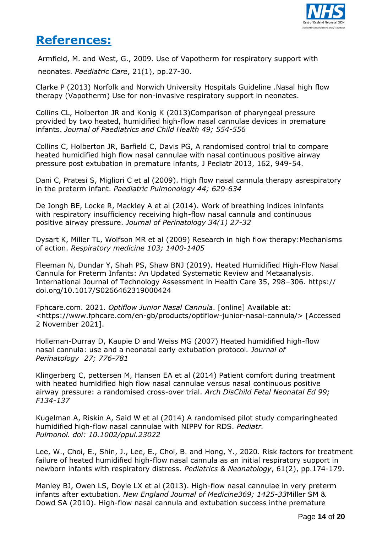

# **References:**

Armfield, M. and West, G., 2009. Use of Vapotherm for respiratory support with neonates. *Paediatric Care*, 21(1), pp.27-30.

Clarke P (2013) Norfolk and Norwich University Hospitals Guideline .Nasal high flow therapy (Vapotherm) Use for non-invasive respiratory support in neonates.

Collins CL, Holberton JR and Konig K (2013)Comparison of pharyngeal pressure provided by two heated, humidified high-flow nasal cannulae devices in premature infants. *Journal of Paediatrics and Child Health 49; 554-556*

Collins C, Holberton JR, Barfield C, Davis PG, A randomised control trial to compare heated humidified high flow nasal cannulae with nasal continuous positive airway pressure post extubation in premature infants, J Pediatr 2013, 162, 949-54.

Dani C, Pratesi S, Migliori C et al (2009). High flow nasal cannula therapy asrespiratory in the preterm infant. *Paediatric Pulmonology 44; 629-634*

De Jongh BE, Locke R, Mackley A et al (2014). Work of breathing indices ininfants with respiratory insufficiency receiving high-flow nasal cannula and continuous positive airway pressure. *Journal of Perinatology 34(1) 27-32*

Dysart K, Miller TL, Wolfson MR et al (2009) Research in high flow therapy:Mechanisms of action. *Respiratory medicine 103; 1400-1405*

Fleeman N, Dundar Y, Shah PS, Shaw BNJ (2019). Heated Humidified High-Flow Nasal Cannula for Preterm Infants: An Updated Systematic Review and Metaanalysis. International Journal of Technology Assessment in Health Care 35, 298–306. https:// doi.org/10.1017/S0266462319000424

Fphcare.com. 2021. *Optiflow Junior Nasal Cannula*. [online] Available at: <https://www.fphcare.com/en-gb/products/optiflow-junior-nasal-cannula/> [Accessed 2 November 2021].

Holleman-Durray D, Kaupie D and Weiss MG (2007) Heated humidified high-flow nasal cannula: use and a neonatal early extubation protocol*. Journal of Perinatology 27; 776-781*

Klingerberg C, pettersen M, Hansen EA et al (2014) Patient comfort during treatment with heated humidified high flow nasal cannulae versus nasal continuous positive airway pressure: a randomised cross-over trial. *Arch DisChild Fetal Neonatal Ed 99; F134-137*

Kugelman A, Riskin A, Said W et al (2014) A randomised pilot study comparingheated humidified high-flow nasal cannulae with NIPPV for RDS. *Pediatr. Pulmonol. doi: 10.1002/ppul.23022*

Lee, W., Choi, E., Shin, J., Lee, E., Choi, B. and Hong, Y., 2020. Risk factors for treatment failure of heated humidified high-flow nasal cannula as an initial respiratory support in newborn infants with respiratory distress. *Pediatrics & Neonatology*, 61(2), pp.174-179.

Manley BJ, Owen LS, Doyle LX et al (2013). High-flow nasal cannulae in very preterm infants after extubation. *New England Journal of Medicine369; 1425-33*Miller SM & Dowd SA (2010). High-flow nasal cannula and extubation success inthe premature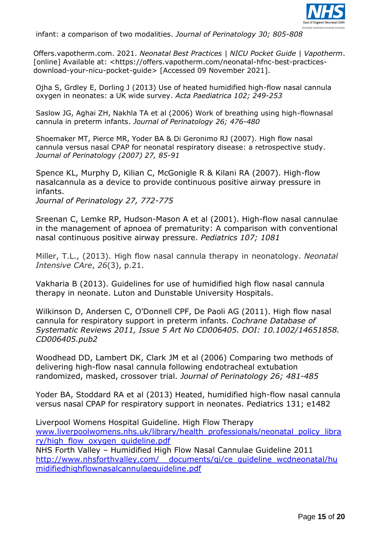

infant: a comparison of two modalities. *Journal of Perinatology 30; 805-808*

Offers.vapotherm.com. 2021. *Neonatal Best Practices | NICU Pocket Guide | Vapotherm*. [online] Available at: <https://offers.vapotherm.com/neonatal-hfnc-best-practicesdownload-your-nicu-pocket-guide> [Accessed 09 November 2021].

Ojha S, Grdley E, Dorling J (2013) Use of heated humidified high-flow nasal cannula oxygen in neonates: a UK wide survey. *Acta Paediatrica 102; 249-253*

Saslow JG, Aghai ZH, Nakhla TA et al (2006) Work of breathing using high-flownasal cannula in preterm infants. *Journal of Perinatology 26; 476-480*

Shoemaker MT, Pierce MR, Yoder BA & Di Geronimo RJ (2007). High flow nasal cannula versus nasal CPAP for neonatal respiratory disease: a retrospective study. *Journal of Perinatology (2007) 27, 85-91*

Spence KL, Murphy D, Kilian C, McGonigle R & Kilani RA (2007). High-flow nasalcannula as a device to provide continuous positive airway pressure in infants.

*Journal of Perinatology 27, 772-775*

Sreenan C, Lemke RP, Hudson-Mason A et al (2001). High-flow nasal cannulae in the management of apnoea of prematurity: A comparison with conventional nasal continuous positive airway pressure. *Pediatrics 107; 1081*

Miller, T.L., (2013). High flow nasal cannula therapy in neonatology. *Neonatal Intensive CAre*, *26*(3), p.21.

Vakharia B (2013). Guidelines for use of humidified high flow nasal cannula therapy in neonate. Luton and Dunstable University Hospitals.

Wilkinson D, Andersen C, O'Donnell CPF, De Paoli AG (2011). High flow nasal cannula for respiratory support in preterm infants. *Cochrane Database of Systematic Reviews 2011, Issue 5 Art No CD006405. DOI: 10.1002/14651858. CD006405.pub2*

Woodhead DD, Lambert DK, Clark JM et al (2006) Comparing two methods of delivering high-flow nasal cannula following endotracheal extubation randomized, masked, crossover trial. *Journal of Perinatology 26; 481-485*

Yoder BA, Stoddard RA et al (2013) Heated, humidified high-flow nasal cannula versus nasal CPAP for respiratory support in neonates. Pediatrics 131; e1482

Liverpool Womens Hospital Guideline. High Flow Therapy [www.liverpoolwomens.nhs.uk/library/health\\_professionals/neonatal\\_policy\\_libra](http://www.liverpoolwomens.nhs.uk/library/health_professionals/neonatal_policy_library/high_flow_oxygen_guideline.pdf) [ry/high\\_flow\\_oxygen\\_guideline.pdf](http://www.liverpoolwomens.nhs.uk/library/health_professionals/neonatal_policy_library/high_flow_oxygen_guideline.pdf)

NHS Forth Valley – Humidified High Flow Nasal Cannulae Guideline 2011 http://www.nhsforthvalley.com/ [documents/qi/ce\\_guideline\\_wcdneonatal/hu](http://www.nhsforthvalley.com/__documents/qi/ce_guideline_wcdneonatal/humidifiedhighflownasalcannulaeguideline.pdf) [midifiedhighflownasalcannulaeguideline.pdf](http://www.nhsforthvalley.com/__documents/qi/ce_guideline_wcdneonatal/humidifiedhighflownasalcannulaeguideline.pdf)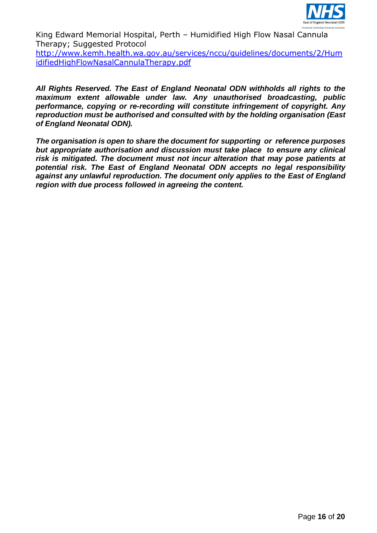

King Edward Memorial Hospital, Perth – Humidified High Flow Nasal Cannula Therapy; Suggested Protocol

[http://www.kemh.health.wa.gov.au/services/nccu/guidelines/documents/2/Hum](http://www.kemh.health.wa.gov.au/services/nccu/guidelines/documents/2/HumidifiedHighFlowNasalCannulaTherapy.pdf) [idifiedHighFlowNasalCannulaTherapy.pdf](http://www.kemh.health.wa.gov.au/services/nccu/guidelines/documents/2/HumidifiedHighFlowNasalCannulaTherapy.pdf)

*All Rights Reserved. The East of England Neonatal ODN withholds all rights to the maximum extent allowable under law. Any unauthorised broadcasting, public performance, copying or re-recording will constitute infringement of copyright. Any reproduction must be authorised and consulted with by the holding organisation (East of England Neonatal ODN).*

*The organisation is open to share the document for supporting or reference purposes but appropriate authorisation and discussion must take place to ensure any clinical risk is mitigated. The document must not incur alteration that may pose patients at potential risk. The East of England Neonatal ODN accepts no legal responsibility against any unlawful reproduction. The document only applies to the East of England region with due process followed in agreeing the content.*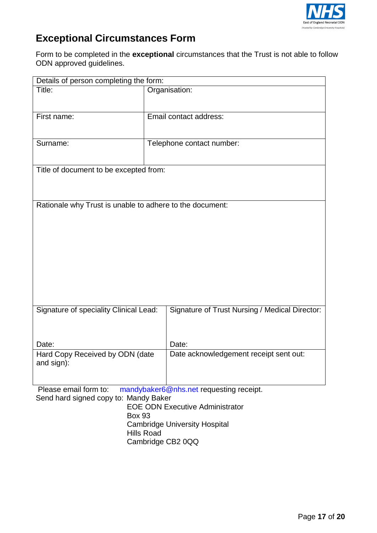

# **Exceptional Circumstances Form**

Form to be completed in the **exceptional** circumstances that the Trust is not able to follow ODN approved guidelines.

| Details of person completing the form:                                                                                                              |                                                |  |  |
|-----------------------------------------------------------------------------------------------------------------------------------------------------|------------------------------------------------|--|--|
| Title:                                                                                                                                              | Organisation:                                  |  |  |
| First name:                                                                                                                                         | Email contact address:                         |  |  |
| Surname:                                                                                                                                            | Telephone contact number:                      |  |  |
| Title of document to be excepted from:                                                                                                              |                                                |  |  |
| Rationale why Trust is unable to adhere to the document:                                                                                            |                                                |  |  |
| Signature of speciality Clinical Lead:                                                                                                              | Signature of Trust Nursing / Medical Director: |  |  |
| Date:                                                                                                                                               | Date:                                          |  |  |
| Hard Copy Received by ODN (date<br>and sign):                                                                                                       | Date acknowledgement receipt sent out:         |  |  |
| Please email form to:<br>mandybaker6@nhs.net requesting receipt.<br>Send hard signed copy to: Mandy Baker<br><b>FOF ODN Executive Administrator</b> |                                                |  |  |

EOE ODN Executive Administrator Box 93 Cambridge University Hospital Hills Road Cambridge CB2 0QQ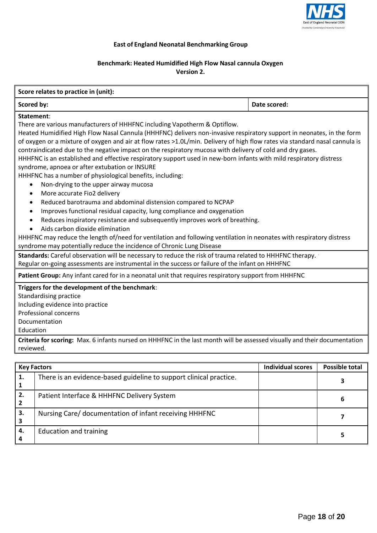

### **East of England Neonatal Benchmarking Group**

### **Benchmark: Heated Humidified High Flow Nasal cannula Oxygen Version 2.**

### **Score relates to practice in (unit): Scored by: Date** scored: **Date** scored: **Date** scored: **Statement**: There are various manufacturers of HHHFNC including Vapotherm & Optiflow. Heated Humidified High Flow Nasal Cannula (HHHFNC) delivers non-invasive respiratory support in neonates, in the form of oxygen or a mixture of oxygen and air at flow rates >1.0L/min. Delivery of high flow rates via standard nasal cannula is contraindicated due to the negative impact on the respiratory mucosa with delivery of cold and dry gases. HHHFNC is an established and effective respiratory support used in new-born infants with mild respiratory distress syndrome, apnoea or after extubation or INSURE HHHFNC has a number of physiological benefits, including: Non-drying to the upper airway mucosa More accurate Fio2 delivery Reduced barotrauma and abdominal distension compared to NCPAP Improves functional residual capacity, lung compliance and oxygenation Reduces inspiratory resistance and subsequently improves work of breathing. Aids carbon dioxide elimination HHHFNC may reduce the length of/need for ventilation and following ventilation in neonates with respiratory distress syndrome may potentially reduce the incidence of Chronic Lung Disease **Standards:** Careful observation will be necessary to reduce the risk of trauma related to HHHFNC therapy. . Regular on-going assessments are instrumental in the success or failure of the infant on HHHFNC **Patient Group:** Any infant cared for in a neonatal unit that requires respiratory support from HHHFNC **Triggers for the development of the benchmark**: Standardising practice Including evidence into practice Professional concerns Documentation Education **Criteria for scoring:** Max. 6 infants nursed on HHHFNC in the last month will be assessed visually and their documentation reviewed. **Key Factors Individual scores Possible total 1.** There is an evidence-based guideline to support clinical practice. **<sup>3</sup>**

| 2. | Patient Interface & HHHFNC Delivery System             |  |
|----|--------------------------------------------------------|--|
|    | Nursing Care/ documentation of infant receiving HHHFNC |  |
| 4. | <b>Education and training</b>                          |  |